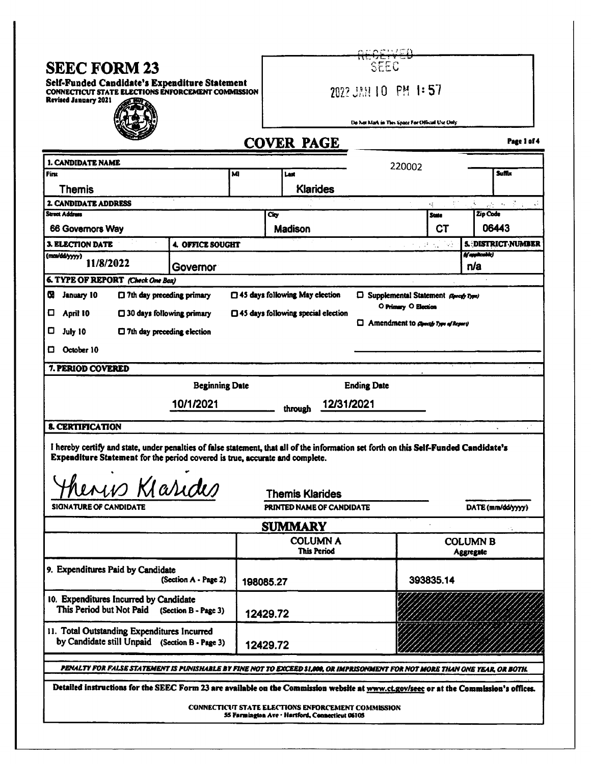| <b>SEEC FORM 23</b><br>Self-Funded Candidate's Expenditure Statement<br>CONNECTICUT STATE ELECTIONS ENFORCEMENT COMMISSION<br>Revised January 2021                                                                    |                                    |           |                   | SEEC                                                                                                         |                                      |                      |           |                              |                           |  |  |
|-----------------------------------------------------------------------------------------------------------------------------------------------------------------------------------------------------------------------|------------------------------------|-----------|-------------------|--------------------------------------------------------------------------------------------------------------|--------------------------------------|----------------------|-----------|------------------------------|---------------------------|--|--|
|                                                                                                                                                                                                                       |                                    |           |                   | 2022 JAN 10 PM 1:57                                                                                          |                                      |                      |           |                              |                           |  |  |
|                                                                                                                                                                                                                       |                                    |           |                   |                                                                                                              |                                      |                      |           |                              |                           |  |  |
|                                                                                                                                                                                                                       |                                    |           |                   |                                                                                                              |                                      |                      |           |                              |                           |  |  |
|                                                                                                                                                                                                                       |                                    |           |                   | Do Not Mark in This Space For Official Use Only                                                              |                                      |                      |           |                              |                           |  |  |
|                                                                                                                                                                                                                       |                                    |           | <b>COVER PAGE</b> |                                                                                                              |                                      |                      |           |                              | Page 1 of 4               |  |  |
| 1. CANDIDATE NAME                                                                                                                                                                                                     |                                    |           |                   |                                                                                                              |                                      | 220002               |           |                              |                           |  |  |
| Finx                                                                                                                                                                                                                  |                                    | M         |                   | Last                                                                                                         |                                      |                      |           |                              | <b>Suffix</b>             |  |  |
| <b>Themis</b>                                                                                                                                                                                                         |                                    |           |                   | <b>Klarides</b>                                                                                              |                                      |                      |           |                              |                           |  |  |
| 2. CANDIDATE ADDRESS                                                                                                                                                                                                  |                                    |           |                   |                                                                                                              |                                      |                      | 橫         | i.                           | 融合 英全<br>AF.              |  |  |
| Street Address                                                                                                                                                                                                        |                                    |           | Ćю                |                                                                                                              |                                      |                      | State     | Zip Code                     |                           |  |  |
| 66 Governors Way                                                                                                                                                                                                      |                                    |           |                   | <b>Madison</b>                                                                                               |                                      |                      | СT        |                              | 06443                     |  |  |
| <b>3. ELECTION DATE</b><br>(mm/dd/yyyy)                                                                                                                                                                               | <b>4. OFFICE SOUGHT</b>            |           |                   |                                                                                                              |                                      |                      | 2 레스 - 28 | (Vaphoskie)                  | <b>S. DISTRICT NUMBER</b> |  |  |
| 11/8/2022                                                                                                                                                                                                             | Governor                           |           |                   |                                                                                                              |                                      |                      |           | n/a                          |                           |  |  |
| 6. TYPE OF REPORT (Check One Box)                                                                                                                                                                                     |                                    |           |                   |                                                                                                              |                                      |                      |           |                              |                           |  |  |
| α<br>January 10<br>[] 7th day preceding primary                                                                                                                                                                       |                                    |           |                   | 45 days following May election                                                                               | D Supplemental Statement Avent Type) |                      |           |                              |                           |  |  |
| O<br>April 10<br>$\square$ 30 days following primary                                                                                                                                                                  |                                    |           |                   | $\Box$ 45 days following special election                                                                    |                                      | O Primary O Election |           |                              |                           |  |  |
| O<br>July 10<br>$\Box$ 7th day preceding election                                                                                                                                                                     |                                    |           |                   |                                                                                                              | $\Box$ Amendment to good by a Report |                      |           |                              |                           |  |  |
| October 10<br>О                                                                                                                                                                                                       |                                    |           |                   |                                                                                                              |                                      |                      |           |                              |                           |  |  |
| 7. PERIOD COVERED                                                                                                                                                                                                     |                                    |           |                   |                                                                                                              |                                      |                      |           |                              |                           |  |  |
|                                                                                                                                                                                                                       |                                    |           |                   |                                                                                                              |                                      |                      |           |                              |                           |  |  |
|                                                                                                                                                                                                                       | <b>Beginning Date</b><br>10/1/2021 |           |                   |                                                                                                              | <b>Ending Date</b><br>12/31/2021     |                      |           |                              |                           |  |  |
|                                                                                                                                                                                                                       |                                    |           |                   | through                                                                                                      |                                      |                      |           |                              |                           |  |  |
| <b>8. CERTIFICATION</b>                                                                                                                                                                                               |                                    |           |                   |                                                                                                              |                                      |                      |           |                              |                           |  |  |
| I hereby certify and state, under penalties of false statement, that all of the information set forth on this Self-Funded Candidate's<br>Expenditure Statement for the period covered is true, accurate and complete. |                                    |           |                   |                                                                                                              |                                      |                      |           |                              |                           |  |  |
|                                                                                                                                                                                                                       |                                    |           |                   |                                                                                                              |                                      |                      |           |                              |                           |  |  |
| $\cdot$ $\cdot$<br>henis Klaride                                                                                                                                                                                      |                                    |           |                   |                                                                                                              |                                      |                      |           |                              |                           |  |  |
|                                                                                                                                                                                                                       |                                    |           |                   | <b>Themis Klarides</b>                                                                                       |                                      |                      |           |                              |                           |  |  |
| SIGNATURE OF CANDIDATE                                                                                                                                                                                                |                                    |           |                   | PRINTED NAME OF CANDIDATE                                                                                    |                                      |                      |           |                              | DATE (mm/dd/yyyy)         |  |  |
|                                                                                                                                                                                                                       |                                    |           |                   | <b>SUMMARY</b>                                                                                               |                                      |                      |           |                              |                           |  |  |
|                                                                                                                                                                                                                       |                                    |           |                   | <b>COLUMN A</b><br>This Period                                                                               |                                      |                      |           | <b>COLUMN B</b><br>Aggregate |                           |  |  |
| 9. Expenditures Paid by Candidate                                                                                                                                                                                     | (Section $A \cdot Page 2$ )        |           |                   |                                                                                                              |                                      |                      |           |                              |                           |  |  |
|                                                                                                                                                                                                                       |                                    | 198085.27 |                   |                                                                                                              |                                      | 393835.14            |           |                              |                           |  |  |
| 10. Expenditures Incurred by Candidate<br>This Period but Not Paid                                                                                                                                                    | (Section B - Page 3)               | 12429.72  |                   |                                                                                                              |                                      |                      |           |                              |                           |  |  |
| 11. Total Outstanding Expenditures Incurred<br>by Candidate still Unpaid (Section B - Page 3)                                                                                                                         |                                    |           |                   |                                                                                                              |                                      |                      |           |                              |                           |  |  |
|                                                                                                                                                                                                                       |                                    | 12429.72  |                   |                                                                                                              |                                      |                      |           |                              |                           |  |  |
| PENALTY FOR FALSE STATEMENT IS PUNISHABLE BY FINE NOT TO EXCEED \$1,000, OR IMPRISONMENT FOR NOT MORE THAN ONE YEAR, OR BOTH.                                                                                         |                                    |           |                   |                                                                                                              |                                      |                      |           |                              |                           |  |  |
| Detailed instructions for the SEEC Form 23 are available on the Commission website at www.ct.gov/seec or at the Commission's offices.                                                                                 |                                    |           |                   |                                                                                                              |                                      |                      |           |                              |                           |  |  |
|                                                                                                                                                                                                                       |                                    |           |                   | <b>CONNECTICUT STATE ELECTIONS ENFORCEMENT COMMISSION</b><br>55 Farmington Ave · Hartford, Connecticut 06105 |                                      |                      |           |                              |                           |  |  |
|                                                                                                                                                                                                                       |                                    |           |                   |                                                                                                              |                                      |                      |           |                              |                           |  |  |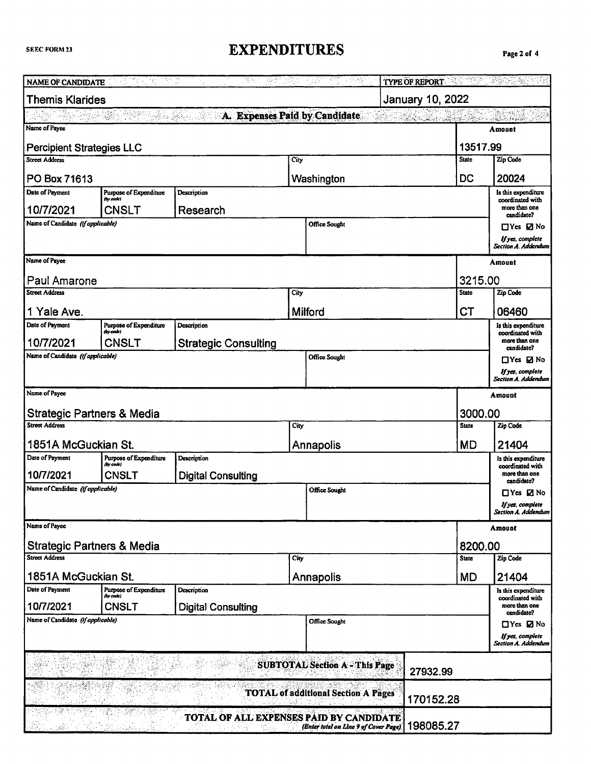#### **EXPENDITURES**

| NAME OF CANDIDATE                              |                                     |                                         |      | TV를 다 팔려 달린다 등 2017년이 보여주                         | TYPE OF REPORT AND RESIDENCE. |              |                                                                                                                                                                                                                                |
|------------------------------------------------|-------------------------------------|-----------------------------------------|------|---------------------------------------------------|-------------------------------|--------------|--------------------------------------------------------------------------------------------------------------------------------------------------------------------------------------------------------------------------------|
| <b>Themis Klarides</b>                         |                                     |                                         |      |                                                   | January 10, 2022              |              |                                                                                                                                                                                                                                |
|                                                |                                     | A. Expenses Paid by Candidate           |      |                                                   |                               |              | t and the second complete and the second control of the second second control of the second second second second second second second second second second second second second second second second second second second seco |
| Name of Payee                                  |                                     |                                         |      |                                                   |                               |              | Amount                                                                                                                                                                                                                         |
| <b>Percipient Strategies LLC</b>               |                                     |                                         |      |                                                   |                               | 13517.99     |                                                                                                                                                                                                                                |
| <b>Street Address</b><br>City                  |                                     |                                         |      |                                                   | <b>State</b>                  | Zip Code     |                                                                                                                                                                                                                                |
| PO Box 71613                                   | DC<br>Washington                    |                                         |      |                                                   |                               |              | 20024                                                                                                                                                                                                                          |
| Date of Payment                                | Purpose of Expenditure<br>(by code) | Description                             |      |                                                   |                               |              | Is this expenditure<br>coordinated with                                                                                                                                                                                        |
| 10/7/2021                                      | CNSLT                               | Research                                |      |                                                   |                               |              | more than one<br>candidate?                                                                                                                                                                                                    |
| Name of Candidate (if applicable)              |                                     |                                         |      | Office Sought                                     |                               |              | $\Box$ Yes $\Box$ No                                                                                                                                                                                                           |
|                                                |                                     |                                         |      |                                                   |                               |              | If yes, complete<br>Section A. Addendum                                                                                                                                                                                        |
| Name of Payce                                  |                                     |                                         |      |                                                   |                               |              | Amount                                                                                                                                                                                                                         |
| Paul Amarone                                   |                                     |                                         |      |                                                   |                               | 3215.00      |                                                                                                                                                                                                                                |
| <b>Street Address</b>                          |                                     |                                         | City |                                                   |                               | <b>State</b> | Zip Code                                                                                                                                                                                                                       |
| 1 Yale Ave.                                    |                                     |                                         |      | Milford                                           |                               | СT           | 06460                                                                                                                                                                                                                          |
| Date of Payment                                | Purpose of Expenditure              | Description                             |      |                                                   |                               |              | Is this expenditure                                                                                                                                                                                                            |
|                                                | (by code)                           |                                         |      |                                                   |                               |              | coordinated with<br>more than one                                                                                                                                                                                              |
| 10/7/2021<br>Name of Candidate (if applicable) | <b>CNSLT</b>                        | <b>Strategic Consulting</b>             |      |                                                   |                               |              | candidate?                                                                                                                                                                                                                     |
|                                                |                                     |                                         |      | <b>Office Sought</b>                              |                               |              | $\Box Y$ es $\Box$ No                                                                                                                                                                                                          |
|                                                |                                     |                                         |      |                                                   |                               |              | If yes, complete<br>Section A. Addendum                                                                                                                                                                                        |
| Name of Payee                                  |                                     |                                         |      |                                                   |                               |              | Amount                                                                                                                                                                                                                         |
| Strategic Partners & Media                     |                                     |                                         |      |                                                   |                               | 3000.00      |                                                                                                                                                                                                                                |
| <b>Street Address</b>                          |                                     |                                         | City |                                                   |                               | <b>State</b> | Zip Code                                                                                                                                                                                                                       |
| 1851A McGuckian St.                            |                                     |                                         |      | Annapolis                                         |                               | <b>MD</b>    | 21404                                                                                                                                                                                                                          |
| Date of Payment                                | Purpose of Expenditure              | Description                             |      |                                                   |                               |              | Is this expenditure                                                                                                                                                                                                            |
| 10/7/2021                                      | (by code)<br>CNSLT                  | <b>Digital Consulting</b>               |      |                                                   |                               |              | coordinated with<br>more than one                                                                                                                                                                                              |
| Name of Candidate (if applicable)              |                                     |                                         |      | <b>Office Sought</b>                              |                               |              | candidate?<br>□Yes ØNo                                                                                                                                                                                                         |
|                                                |                                     |                                         |      |                                                   |                               |              | If yes, complete                                                                                                                                                                                                               |
|                                                |                                     |                                         |      |                                                   |                               |              | Section A. Addendum                                                                                                                                                                                                            |
| Name of Payce                                  |                                     |                                         |      |                                                   |                               |              | Amount                                                                                                                                                                                                                         |
| Strategic Partners & Media                     |                                     |                                         |      |                                                   |                               | 8200.00      |                                                                                                                                                                                                                                |
| <b>Street Address</b>                          |                                     |                                         | City |                                                   |                               | <b>State</b> | Zip Code                                                                                                                                                                                                                       |
| 1851A McGuckian St.                            |                                     |                                         |      | Annapolis                                         |                               | <b>MD</b>    | 21404                                                                                                                                                                                                                          |
| Date of Payment                                | Purpose of Expenditure<br>(by code) | Description                             |      |                                                   |                               |              | Is this expenditure<br>coordinated with                                                                                                                                                                                        |
| 10/7/2021                                      | CNSLT                               | <b>Digital Consulting</b>               |      |                                                   |                               |              | more than one<br>candidate?                                                                                                                                                                                                    |
| Name of Candidate (if applicable)              |                                     |                                         |      | Office Sought                                     |                               |              | $\Box$ Yes $\Box$ No                                                                                                                                                                                                           |
|                                                |                                     |                                         |      |                                                   |                               |              | If yes, complete<br>Section A. Addendum                                                                                                                                                                                        |
|                                                |                                     |                                         |      | <b>SUBTOTAL Section A - This Page</b>             | 27932.99                      |              |                                                                                                                                                                                                                                |
|                                                |                                     |                                         |      | <b>TOTAL of additional Section A Pages</b>        | 170152.28                     |              |                                                                                                                                                                                                                                |
|                                                |                                     | TOTAL OF ALL EXPENSES PAID BY CANDIDATE |      | (Enter total on Line 9 of Cover Page)   198085.27 |                               |              |                                                                                                                                                                                                                                |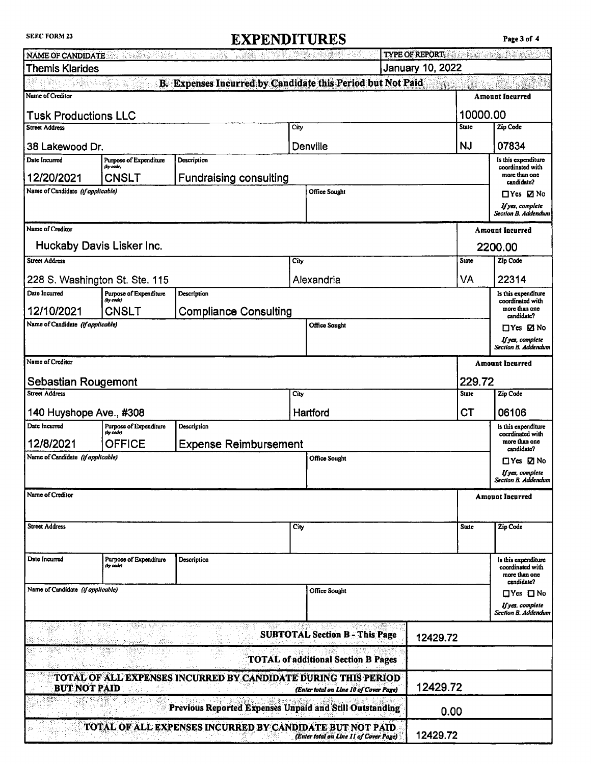#### **SEEC FORM 23**

### **EXPENDITURES**

|                                                         |                                     | <b>NAME OF CANDIDATE</b> the same of the same of the same of the same of the same of the same of the same of the same of the same of the same of the same of the same of the same of the same of the same of the same of the same o |                                            | TYPE OF REPORT AND RESIDENCE TYPE OF REPORT |                    |                                         |  |
|---------------------------------------------------------|-------------------------------------|-------------------------------------------------------------------------------------------------------------------------------------------------------------------------------------------------------------------------------------|--------------------------------------------|---------------------------------------------|--------------------|-----------------------------------------|--|
| <b>Themis Klarides</b>                                  |                                     | January 10, 2022                                                                                                                                                                                                                    |                                            |                                             |                    |                                         |  |
| Name of Creditor                                        |                                     | B. Expenses Incurred by Candidate this Period but Not Paid                                                                                                                                                                          |                                            |                                             | <b>MARKET STAR</b> | <b>Amount Incurred</b>                  |  |
| <b>Tusk Productions LLC</b>                             |                                     |                                                                                                                                                                                                                                     |                                            |                                             | 10000.00           |                                         |  |
| <b>Street Address</b>                                   |                                     |                                                                                                                                                                                                                                     | City                                       |                                             | <b>State</b>       | <b>Zip Code</b>                         |  |
| 38 Lakewood Dr.                                         |                                     |                                                                                                                                                                                                                                     | Denville                                   |                                             | <b>NJ</b>          | 07834                                   |  |
| Date Incurred                                           | Purpose of Expenditure<br>(by code) | Description                                                                                                                                                                                                                         |                                            |                                             |                    | Is this expenditure<br>coordinated with |  |
| 12/20/2021                                              | CNSLT                               | <b>Fundraising consulting</b>                                                                                                                                                                                                       |                                            |                                             |                    | more than one<br>candidate?             |  |
| Name of Candidate (if applicable)                       |                                     |                                                                                                                                                                                                                                     | <b>Office Sought</b>                       |                                             |                    | $\Box$ Yes $\Box$ No                    |  |
|                                                         |                                     |                                                                                                                                                                                                                                     |                                            |                                             |                    | If yes, complete<br>Section B. Addendum |  |
| Name of Creditor                                        |                                     |                                                                                                                                                                                                                                     |                                            |                                             |                    | <b>Amount Incurred</b>                  |  |
| Huckaby Davis Lisker Inc.                               |                                     |                                                                                                                                                                                                                                     |                                            |                                             |                    | 2200.00                                 |  |
| <b>Street Address</b>                                   |                                     |                                                                                                                                                                                                                                     | City                                       |                                             | State              | Zip Code                                |  |
| 228 S. Washington St. Ste. 115                          |                                     |                                                                                                                                                                                                                                     | Alexandria                                 |                                             | VA                 | 22314                                   |  |
| Date Incurred                                           | Purpose of Expenditure<br>(by code) | Description                                                                                                                                                                                                                         |                                            |                                             |                    | Is this expenditure<br>coordinated with |  |
| 12/10/2021                                              | CNSLT                               | <b>Compliance Consulting</b>                                                                                                                                                                                                        |                                            |                                             |                    | more than one<br>candidate?             |  |
| Name of Candidate (if applicable)                       |                                     |                                                                                                                                                                                                                                     | <b>Office Sought</b>                       |                                             |                    | $\Box$ Yes $\Box$ No                    |  |
|                                                         |                                     |                                                                                                                                                                                                                                     |                                            |                                             |                    | If yes, complete<br>Section B. Addendum |  |
| Name of Creditor                                        |                                     |                                                                                                                                                                                                                                     |                                            |                                             |                    | <b>Amount Incurred</b>                  |  |
| Sebastian Rougemont                                     |                                     |                                                                                                                                                                                                                                     |                                            |                                             | 229.72             |                                         |  |
| <b>Street Address</b>                                   |                                     |                                                                                                                                                                                                                                     | City                                       |                                             | <b>State</b>       | Zip Code                                |  |
| 140 Huyshope Ave., #308                                 |                                     |                                                                                                                                                                                                                                     | Hartford                                   |                                             | СT                 | 06106                                   |  |
| Date Incurred                                           | Purpose of Expenditure              | Description                                                                                                                                                                                                                         |                                            |                                             |                    | Is this expenditure                     |  |
| 12/8/2021                                               | (by code)<br><b>OFFICE</b>          | <b>Expense Reimbursement</b>                                                                                                                                                                                                        |                                            |                                             |                    | coordinated with<br>more than one       |  |
| Name of Candidate (if applicable)                       |                                     |                                                                                                                                                                                                                                     | Office Sought                              |                                             |                    | candidate?<br>$\Box$ Yes $\Box$ No      |  |
|                                                         |                                     |                                                                                                                                                                                                                                     |                                            |                                             |                    | If yes, complete<br>Section B. Addendur |  |
| Name of Creditor                                        |                                     |                                                                                                                                                                                                                                     |                                            |                                             |                    |                                         |  |
|                                                         |                                     |                                                                                                                                                                                                                                     |                                            |                                             |                    | <b>Amount Incurred</b>                  |  |
| <b>Street Address</b>                                   |                                     |                                                                                                                                                                                                                                     | City                                       |                                             | <b>State</b>       | Zip Code                                |  |
|                                                         |                                     |                                                                                                                                                                                                                                     |                                            |                                             |                    |                                         |  |
| Date Incurred                                           | Purpose of Expenditure              | Description                                                                                                                                                                                                                         |                                            |                                             |                    | Is this expenditure                     |  |
|                                                         | (by code)                           |                                                                                                                                                                                                                                     |                                            |                                             |                    | coordinated with<br>more than one       |  |
| Name of Candidate (if applicable)                       |                                     |                                                                                                                                                                                                                                     | Office Sought                              |                                             |                    | candidate?<br>$\Box$ Yes $\Box$ No      |  |
|                                                         |                                     |                                                                                                                                                                                                                                     |                                            |                                             |                    | If yes, complete                        |  |
|                                                         |                                     |                                                                                                                                                                                                                                     | Report a STARRE                            |                                             |                    | Section B. Addendum                     |  |
|                                                         | 宗城郡                                 |                                                                                                                                                                                                                                     | <b>SUBTOTAL Section B - This Page</b>      | 12429.72                                    |                    |                                         |  |
|                                                         |                                     | 2999                                                                                                                                                                                                                                | <b>TOTAL of additional Section B Pages</b> |                                             |                    |                                         |  |
| <b>BUT NOT PAID</b>                                     | an Salaman Alba<br>Alba             | TOTAL OF ALL EXPENSES INCURRED BY CANDIDATE DURING THIS PERIOD<br>1999년 - 1920년<br>대한민국                                                                                                                                             | (Enter total on Line 10 of Cover Page)     |                                             | 12429.72           |                                         |  |
| Previous Reported Expenses Unpaid and Still Outstanding |                                     |                                                                                                                                                                                                                                     |                                            |                                             | 0.00               |                                         |  |
|                                                         |                                     | TOTAL OF ALL EXPENSES INCURRED BY CANDIDATE BUT NOT PAID                                                                                                                                                                            | (Enter total on Line 11 of Cover Page)     | 12429.72                                    |                    |                                         |  |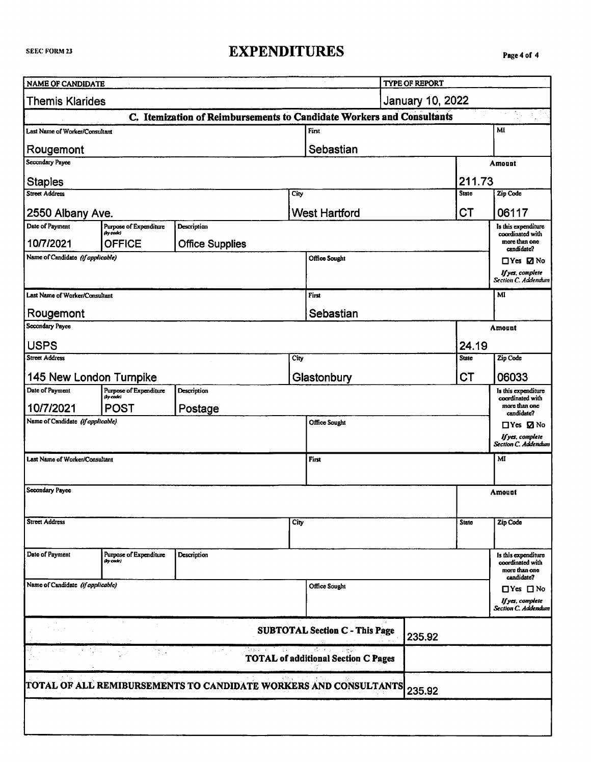## **EXPENDITURES**

| NAME OF CANDIDATE                              |                                     |                                                                       |      |                                            | <b>TYPE OF REPORT</b>   |                        |                                                 |
|------------------------------------------------|-------------------------------------|-----------------------------------------------------------------------|------|--------------------------------------------|-------------------------|------------------------|-------------------------------------------------|
|                                                |                                     |                                                                       |      |                                            |                         |                        |                                                 |
| <b>Themis Klarides</b>                         |                                     |                                                                       |      |                                            | <b>January 10, 2022</b> |                        |                                                 |
| Last Name of Worker/Consultant                 |                                     | C. Itemization of Reimbursements to Candidate Workers and Consultants |      | First                                      |                         |                        | MI                                              |
|                                                |                                     |                                                                       |      |                                            |                         |                        |                                                 |
| Rougemont<br>Secondary Payee                   |                                     |                                                                       |      | Sebastian                                  |                         |                        |                                                 |
|                                                |                                     |                                                                       |      |                                            |                         |                        | Amount                                          |
| <b>Staples</b><br><b>Street Address</b>        |                                     |                                                                       |      |                                            |                         | 211.73<br><b>State</b> |                                                 |
|                                                |                                     |                                                                       | City |                                            |                         |                        | Zip Code                                        |
| 2550 Albany Ave.                               |                                     |                                                                       |      | <b>West Hartford</b>                       |                         | <b>CT</b>              | 06117                                           |
| Date of Payment                                | Purpose of Expenditure<br>(by code) | Description                                                           |      |                                            |                         |                        | Is this expenditure<br>coordinated with         |
| 10/7/2021                                      | OFFICE                              | <b>Office Supplies</b>                                                |      |                                            |                         |                        | more than one<br>candidate?                     |
| Name of Candidate (if applicable)              |                                     |                                                                       |      | Office Sought                              |                         |                        | $\Box$ Yes $\Box$ No                            |
|                                                |                                     |                                                                       |      |                                            |                         |                        | If yes, complete<br>Section C. Addendum         |
| Last Name of Worker/Consultant                 |                                     |                                                                       |      | First                                      |                         |                        | MI                                              |
| Rougemont                                      |                                     |                                                                       |      | Sebastian                                  |                         |                        |                                                 |
| Secondary Payee                                |                                     |                                                                       |      |                                            |                         |                        | Amount                                          |
| <b>USPS</b>                                    |                                     |                                                                       |      |                                            |                         | 24.19                  |                                                 |
| <b>Street Address</b>                          |                                     |                                                                       | City |                                            |                         | <b>State</b>           | Zip Code                                        |
|                                                |                                     |                                                                       |      | <b>CT</b>                                  |                         |                        | 06033                                           |
| 145 New London Turnpike<br>Date of Payment     | Purpose of Expenditure              | Description                                                           |      | Glastonbury                                |                         |                        | Is this expenditure                             |
|                                                | (by code)                           |                                                                       |      |                                            |                         |                        | coordinated with<br>more than one               |
| 10/7/2021<br>Name of Candidate (if applicable) | <b>POST</b>                         | Postage                                                               |      | Office Sought                              |                         |                        | candidate?                                      |
|                                                |                                     |                                                                       |      |                                            |                         |                        | $\Box$ Yes $\Box$ No<br>If yes, complete        |
|                                                |                                     |                                                                       |      |                                            |                         |                        | Section C. Addendum                             |
| Last Name of Worker/Consultant                 |                                     |                                                                       |      | First                                      |                         |                        | MI                                              |
|                                                |                                     |                                                                       |      |                                            |                         |                        |                                                 |
| Secondary Payee                                |                                     |                                                                       |      |                                            |                         |                        | Amount                                          |
|                                                |                                     |                                                                       |      |                                            |                         |                        |                                                 |
| <b>Street Address</b>                          |                                     |                                                                       | City |                                            |                         | <b>State</b>           | Zip Code                                        |
|                                                |                                     |                                                                       |      |                                            |                         |                        |                                                 |
| Date of Payment                                | Purpose of Expenditure<br>(by code) | Description                                                           |      |                                            |                         |                        | Is this expenditure                             |
|                                                |                                     |                                                                       |      |                                            |                         |                        | coordinated with<br>more than one<br>candidate? |
| Name of Candidate (if applicable)              |                                     |                                                                       |      | Office Sought                              |                         |                        | $\Box$ Yes $\Box$ No                            |
|                                                |                                     |                                                                       |      |                                            |                         |                        | If yes, complete                                |
|                                                |                                     |                                                                       |      |                                            |                         |                        | Section C. Addendum                             |
| <b>SUBTOTAL Section C - This Page</b>          |                                     |                                                                       |      |                                            | 235.92                  |                        |                                                 |
|                                                |                                     |                                                                       |      | <b>TOTAL of additional Section C Pages</b> |                         |                        |                                                 |
|                                                |                                     |                                                                       |      |                                            |                         |                        |                                                 |
|                                                |                                     | TOTAL OF ALL REMIBURSEMENTS TO CANDIDATE WORKERS AND CONSULTANTS      |      |                                            | 235.92                  |                        |                                                 |
|                                                |                                     |                                                                       |      |                                            |                         |                        |                                                 |
|                                                |                                     |                                                                       |      |                                            |                         |                        |                                                 |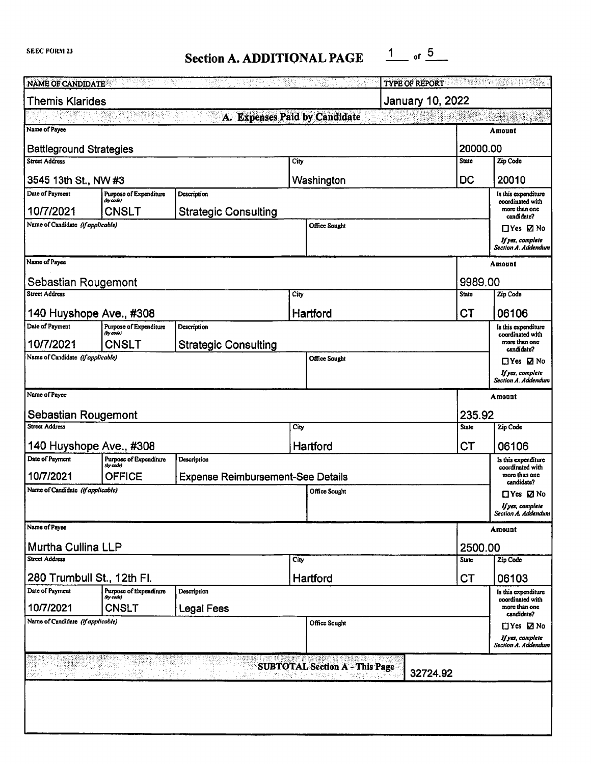# **Section A. ADDITIONAL PAGE**  $\frac{1}{1}$  of  $\frac{5}{1}$

| 그 학교 회장 김 선수들이 반대로 맞았다. 그가 부실에<br>https://www.go<br>NAME OF CANDIDATE AND THE STATE OF CANDIDATE<br>- 明確な<br><b>TYPE OF REPORT</b> |                                     |                                          |                                       |           |                                    |                                         |  |  |  |
|------------------------------------------------------------------------------------------------------------------------------------|-------------------------------------|------------------------------------------|---------------------------------------|-----------|------------------------------------|-----------------------------------------|--|--|--|
| January 10, 2022<br><b>Themis Klarides</b>                                                                                         |                                     |                                          |                                       |           |                                    |                                         |  |  |  |
| An China an<br>A. Expenses Paid by Candidate                                                                                       |                                     |                                          |                                       |           |                                    |                                         |  |  |  |
| Name of Payce<br>Amount                                                                                                            |                                     |                                          |                                       |           |                                    |                                         |  |  |  |
| 20000.00<br><b>Battleground Strategies</b>                                                                                         |                                     |                                          |                                       |           |                                    |                                         |  |  |  |
| <b>Street Address</b>                                                                                                              |                                     |                                          | City                                  |           | <b>State</b>                       | Zip Code                                |  |  |  |
| DC<br>Washington<br>3545 13th St., NW #3                                                                                           |                                     |                                          |                                       |           |                                    | 20010                                   |  |  |  |
| Date of Payment                                                                                                                    | Purpose of Expenditure<br>(by code) | Description                              |                                       |           |                                    | Is this expenditure<br>coordinated with |  |  |  |
| 10/7/2021                                                                                                                          | <b>CNSLT</b>                        | <b>Strategic Consulting</b>              |                                       |           |                                    | more than one<br>candidate?             |  |  |  |
| Name of Candidate (if applicable)                                                                                                  |                                     |                                          | Office Sought                         |           |                                    | $\Box$ Yes $\Box$ No                    |  |  |  |
|                                                                                                                                    |                                     |                                          |                                       |           |                                    | If yes, complete<br>Section A. Addendum |  |  |  |
| Name of Payee                                                                                                                      |                                     |                                          |                                       |           |                                    | Amount                                  |  |  |  |
|                                                                                                                                    |                                     |                                          |                                       |           |                                    |                                         |  |  |  |
| Sebastian Rougemont<br>Street Address                                                                                              |                                     |                                          | City                                  |           | 9989.00<br><b>State</b>            | Zip Code                                |  |  |  |
|                                                                                                                                    |                                     |                                          |                                       |           |                                    |                                         |  |  |  |
| 140 Huyshope Ave., #308                                                                                                            |                                     |                                          | Hartford                              |           | CT                                 | 06106                                   |  |  |  |
| Date of Payment                                                                                                                    | Purpose of Expenditure<br>(by code) | Description                              |                                       |           |                                    | is this expenditure<br>coordinated with |  |  |  |
| 10/7/2021                                                                                                                          | <b>CNSLT</b>                        | <b>Strategic Consulting</b>              |                                       |           |                                    | more than one<br>candidate?             |  |  |  |
| Name of Candidate (if applicable)                                                                                                  |                                     |                                          | <b>Office Sought</b>                  |           |                                    | $\Box$ Yes $\Box$ No                    |  |  |  |
|                                                                                                                                    |                                     |                                          |                                       |           |                                    | If yes, complete<br>Section A. Addendum |  |  |  |
| Name of Payee<br>Amount                                                                                                            |                                     |                                          |                                       |           |                                    |                                         |  |  |  |
| Sebastian Rougemont                                                                                                                |                                     |                                          |                                       |           | 235.92                             |                                         |  |  |  |
| <b>Street Address</b>                                                                                                              |                                     |                                          | City                                  |           | <b>State</b>                       | Zip Code                                |  |  |  |
| 140 Huyshope Ave., #308                                                                                                            |                                     |                                          | Hartford                              | <b>CT</b> | 06106                              |                                         |  |  |  |
| Date of Payment                                                                                                                    | Purpose of Expenditure<br>(by code) | Description                              |                                       |           |                                    | Is this expenditure                     |  |  |  |
| 10/7/2021                                                                                                                          | <b>OFFICE</b>                       | <b>Expense Reimbursement-See Details</b> |                                       |           |                                    | coordinated with<br>more than one       |  |  |  |
| Name of Candidate (if applicable)                                                                                                  |                                     |                                          | Office Sought                         |           | candidate?<br>$\Box$ Yes $\Box$ No |                                         |  |  |  |
|                                                                                                                                    |                                     |                                          |                                       |           | If yes, complete                   |                                         |  |  |  |
| Name of Payee                                                                                                                      |                                     |                                          |                                       |           |                                    | Section A. Addendum                     |  |  |  |
|                                                                                                                                    |                                     |                                          |                                       |           |                                    | Amount                                  |  |  |  |
| Murtha Cullina LLP                                                                                                                 |                                     |                                          |                                       |           | 2500.00                            |                                         |  |  |  |
| Street Address                                                                                                                     |                                     |                                          | City                                  |           | <b>State</b>                       | Zip Code                                |  |  |  |
| 280 Trumbull St., 12th Fl.                                                                                                         |                                     |                                          | Hartford                              |           | <b>CT</b>                          | 06103                                   |  |  |  |
| Date of Payment                                                                                                                    | Purpose of Expenditure<br>(by code) | Description                              |                                       |           |                                    | Is this expenditure<br>coordinated with |  |  |  |
| 10/7/2021                                                                                                                          | <b>CNSLT</b>                        | <b>Legal Fees</b>                        |                                       |           |                                    | more than one<br>candidate?             |  |  |  |
| Name of Candidate (if applicable)                                                                                                  |                                     |                                          | Office Sought                         |           |                                    | $\Box$ Yes $\Box$ No                    |  |  |  |
|                                                                                                                                    |                                     |                                          |                                       |           |                                    | If yes, complete<br>Section A. Addendum |  |  |  |
|                                                                                                                                    |                                     |                                          | <b>SUBTOTAL Section A - This Page</b> |           |                                    |                                         |  |  |  |
| 32724.92                                                                                                                           |                                     |                                          |                                       |           |                                    |                                         |  |  |  |
|                                                                                                                                    |                                     |                                          |                                       |           |                                    |                                         |  |  |  |
|                                                                                                                                    |                                     |                                          |                                       |           |                                    |                                         |  |  |  |
|                                                                                                                                    |                                     |                                          |                                       |           |                                    |                                         |  |  |  |
|                                                                                                                                    |                                     |                                          |                                       |           |                                    |                                         |  |  |  |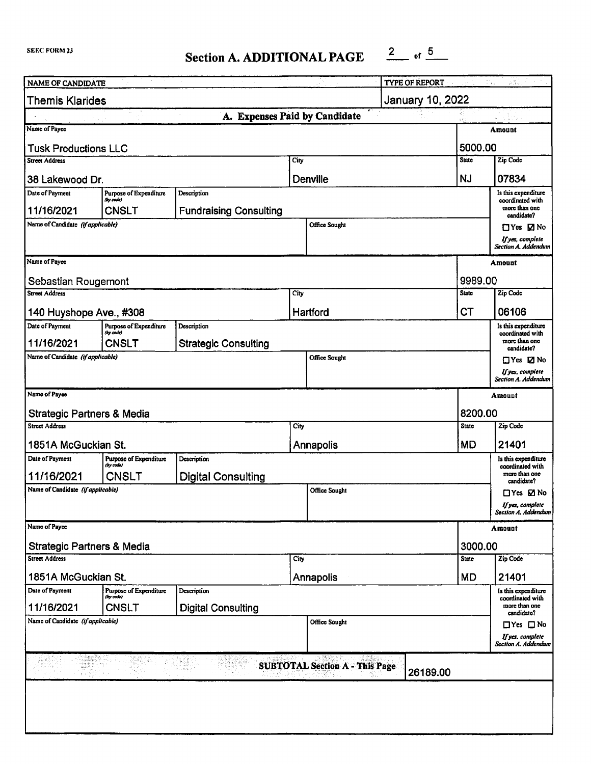**Section A. ADDITIONAL PAGE**  $\frac{2}{\ }$  of  $\frac{5}{\ }$ 

| NAME OF CANDIDATE                                 |                                            |                               |                      |                      | TYPE OF REPORT <b>EXAMPLE 2018</b> |              | $\mathbb{R}^{n \times n \times n}$              |  |  |  |
|---------------------------------------------------|--------------------------------------------|-------------------------------|----------------------|----------------------|------------------------------------|--------------|-------------------------------------------------|--|--|--|
| <b>January 10, 2022</b><br><b>Themis Klarides</b> |                                            |                               |                      |                      |                                    |              |                                                 |  |  |  |
| A. Expenses Paid by Candidate<br>经人名英格兰<br>1.5.1  |                                            |                               |                      |                      |                                    |              |                                                 |  |  |  |
| Name of Payee<br>Amount                           |                                            |                               |                      |                      |                                    |              |                                                 |  |  |  |
| 5000.00<br><b>Tusk Productions LLC</b>            |                                            |                               |                      |                      |                                    |              |                                                 |  |  |  |
| Street Address                                    |                                            |                               | City                 |                      |                                    | <b>State</b> | Zip Code                                        |  |  |  |
| 38 Lakewood Dr.                                   |                                            |                               |                      | <b>Denville</b>      |                                    | <b>NJ</b>    | 07834                                           |  |  |  |
| Date of Payment                                   | Purpose of Expenditure<br>(by code)        | Description                   |                      |                      |                                    |              | Is this expenditure<br>coordinated with         |  |  |  |
| 11/16/2021                                        | <b>CNSLT</b>                               | <b>Fundraising Consulting</b> |                      |                      |                                    |              | more than one<br>candidate?                     |  |  |  |
| Name of Candidate (If applicable)                 |                                            |                               |                      | Office Sought        |                                    |              | $\Box$ Yes $\Box$ No                            |  |  |  |
|                                                   |                                            |                               |                      |                      |                                    |              | If yes, complete<br>Section A. Addendum         |  |  |  |
| Name of Payee                                     |                                            |                               |                      |                      |                                    |              | Amount                                          |  |  |  |
| Sebastian Rougemont                               |                                            |                               |                      |                      |                                    | 9989.00      |                                                 |  |  |  |
| <b>Street Address</b>                             |                                            |                               | City                 |                      |                                    | <b>State</b> | Zip Code                                        |  |  |  |
| 140 Huyshope Ave., #308                           |                                            |                               |                      | Hartford             |                                    | СT           | 06106                                           |  |  |  |
| Date of Payment                                   | Purpose of Expenditure<br>(by code)        | Description                   |                      |                      |                                    |              | Is this expenditure                             |  |  |  |
| 11/16/2021                                        | <b>CNSLT</b>                               | <b>Strategic Consulting</b>   |                      |                      |                                    |              | coordinated with<br>more than one<br>candidate? |  |  |  |
| Name of Candidate (if applicable)                 |                                            |                               |                      | <b>Office Sought</b> |                                    |              | □Yes ØNo                                        |  |  |  |
|                                                   |                                            |                               |                      |                      |                                    |              | If yes, complete<br>Section A. Addendum         |  |  |  |
| Name of Payee                                     |                                            |                               |                      |                      |                                    |              | Amount                                          |  |  |  |
| <b>Strategic Partners &amp; Media</b>             |                                            |                               |                      |                      |                                    | 8200.00      |                                                 |  |  |  |
| <b>Street Address</b>                             |                                            |                               | City                 |                      |                                    | <b>State</b> | Zip Code                                        |  |  |  |
| 1851A McGuckian St.                               |                                            |                               |                      | <b>Annapolis</b>     |                                    | <b>MD</b>    | 21401                                           |  |  |  |
| Date of Payment                                   | <b>Purpose of Expenditure</b><br>(by code) | Description                   |                      |                      |                                    |              | Is this expenditure<br>coordinated with         |  |  |  |
| 11/16/2021                                        | CNSLT                                      | <b>Digital Consulting</b>     |                      |                      |                                    |              | more than one<br>candidate?                     |  |  |  |
| Name of Candidate (if applicable)                 |                                            |                               | <b>Office Sought</b> |                      |                                    |              | □Yes ØNo                                        |  |  |  |
|                                                   |                                            |                               |                      |                      |                                    |              | If yes, complete<br>Section A. Addendum         |  |  |  |
| Name of Payce                                     |                                            |                               |                      |                      |                                    |              | Amount                                          |  |  |  |
| <b>Strategic Partners &amp; Media</b>             |                                            |                               |                      |                      |                                    | 3000.00      |                                                 |  |  |  |
| Street Address                                    |                                            |                               | City                 |                      |                                    | <b>State</b> | Zip Code                                        |  |  |  |
| 1851A McGuckian St.                               |                                            |                               |                      | Annapolis            |                                    | <b>MD</b>    | 21401                                           |  |  |  |
| Date of Payment                                   | Purpose of Expenditure<br>(by rode)        | Description                   |                      |                      |                                    |              | Is this expenditure<br>coordinated with         |  |  |  |
| 11/16/2021                                        | CNSLT                                      | <b>Digital Consulting</b>     |                      |                      |                                    |              | more than one<br>candidate?                     |  |  |  |
| Name of Candidate (if applicable)                 |                                            |                               |                      | Office Sought        |                                    |              | $\Box$ Yes $\Box$ No                            |  |  |  |
|                                                   |                                            |                               |                      |                      |                                    |              | If yes, complete<br>Section A. Addendum         |  |  |  |
| <b>SUBTOTAL Section A - This Page</b><br>26189.00 |                                            |                               |                      |                      |                                    |              |                                                 |  |  |  |
|                                                   |                                            |                               |                      |                      |                                    |              |                                                 |  |  |  |
|                                                   |                                            |                               |                      |                      |                                    |              |                                                 |  |  |  |
|                                                   |                                            |                               |                      |                      |                                    |              |                                                 |  |  |  |
|                                                   |                                            |                               |                      |                      |                                    |              |                                                 |  |  |  |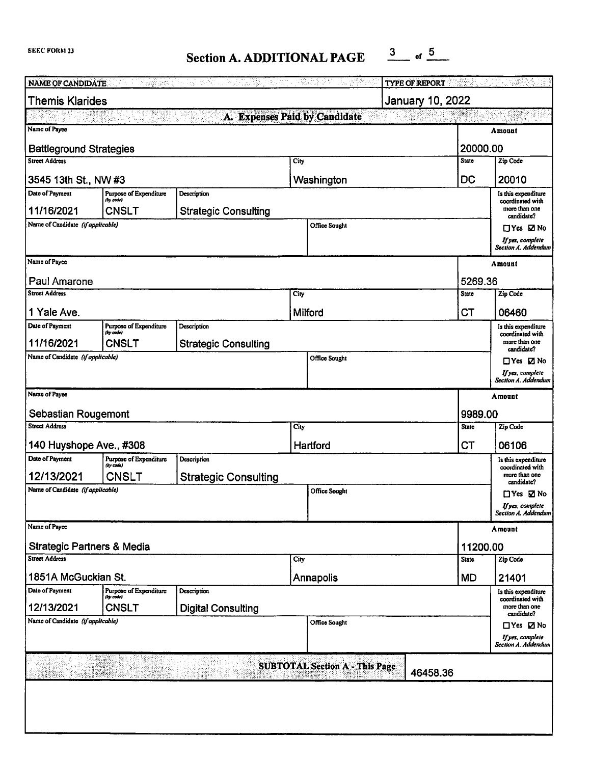# Section A. ADDITIONAL PAGE  $\frac{3}{2}$  of  $\frac{5}{2}$

| <b>NAME OF CANDIDATE</b>                   | Diagonal personal and<br>Second Contract Contract Contract Contract Contract Contract Contract Contract Contract Contract Contract Contract Contract Contract Contract Contract Contract Contract Contract Contract Contract Cont | Pertin.<br>Pertina<br>w. 2014년부<br>15 P.C<br>÷. |         | 공항<br>포함(1) 2011<br>사항(1) 30          | <b>TYPE OF REPORT</b> | ्राज्य               | $\frac{1}{2}$                                   |  |  |  |
|--------------------------------------------|-----------------------------------------------------------------------------------------------------------------------------------------------------------------------------------------------------------------------------------|-------------------------------------------------|---------|---------------------------------------|-----------------------|----------------------|-------------------------------------------------|--|--|--|
| <b>Themis Klarides</b><br>January 10, 2022 |                                                                                                                                                                                                                                   |                                                 |         |                                       |                       |                      |                                                 |  |  |  |
| A. Expenses Paid by Candidate<br>6649.er   |                                                                                                                                                                                                                                   |                                                 |         |                                       |                       |                      |                                                 |  |  |  |
| Name of Payee<br>Amount                    |                                                                                                                                                                                                                                   |                                                 |         |                                       |                       |                      |                                                 |  |  |  |
| 20000.00<br><b>Battleground Strategies</b> |                                                                                                                                                                                                                                   |                                                 |         |                                       |                       |                      |                                                 |  |  |  |
| <b>Street Address</b>                      |                                                                                                                                                                                                                                   |                                                 | City    |                                       |                       | State                | Zip Code                                        |  |  |  |
| 3545 13th St., NW #3                       |                                                                                                                                                                                                                                   |                                                 |         | Washington                            |                       | DC                   | 20010                                           |  |  |  |
| Date of Payment                            | Purpose of Expenditure<br>(by code)                                                                                                                                                                                               | Description                                     |         |                                       |                       |                      | is this expenditure<br>coordinated with         |  |  |  |
| 11/16/2021                                 | <b>CNSLT</b>                                                                                                                                                                                                                      | <b>Strategic Consulting</b>                     |         |                                       |                       |                      | more than one<br>candidate?                     |  |  |  |
| Name of Candidate (if applicable)          |                                                                                                                                                                                                                                   |                                                 |         | Office Sought                         |                       |                      | ⊡Yes ⊠ No                                       |  |  |  |
|                                            |                                                                                                                                                                                                                                   |                                                 |         |                                       |                       |                      | If yes, complete<br>Section A. Addendum         |  |  |  |
| Name of Payee                              |                                                                                                                                                                                                                                   |                                                 |         |                                       |                       |                      | Amount                                          |  |  |  |
| Paul Amarone                               |                                                                                                                                                                                                                                   |                                                 |         |                                       |                       | 5269.36              |                                                 |  |  |  |
| Street Address                             |                                                                                                                                                                                                                                   |                                                 | City    |                                       |                       | <b>State</b>         | Zip Code                                        |  |  |  |
|                                            |                                                                                                                                                                                                                                   |                                                 |         |                                       |                       |                      |                                                 |  |  |  |
| 1 Yale Ave.<br>Date of Payment             | <b>Purpose of Expenditure</b>                                                                                                                                                                                                     | Description                                     | Milford |                                       |                       | СT                   | 06460<br>Is this expenditure                    |  |  |  |
| 11/16/2021                                 | (by code)<br><b>CNSLT</b>                                                                                                                                                                                                         | <b>Strategic Consulting</b>                     |         |                                       |                       |                      | coordinated with<br>more than one               |  |  |  |
| Name of Candidate (if applicable)          |                                                                                                                                                                                                                                   |                                                 |         | Office Sought                         |                       |                      | candidate?<br>$\Box$ Yes $\Box$ No              |  |  |  |
|                                            |                                                                                                                                                                                                                                   |                                                 |         |                                       |                       |                      | If yes, complete                                |  |  |  |
|                                            |                                                                                                                                                                                                                                   |                                                 |         |                                       |                       |                      | Section A. Addendum                             |  |  |  |
| Name of Payee                              |                                                                                                                                                                                                                                   |                                                 |         |                                       |                       |                      | Amount                                          |  |  |  |
| Sebastian Rougemont                        |                                                                                                                                                                                                                                   |                                                 |         |                                       |                       | 9989.00              |                                                 |  |  |  |
| <b>Street Address</b>                      |                                                                                                                                                                                                                                   |                                                 | City    |                                       |                       |                      | Zip Code                                        |  |  |  |
| 140 Huyshope Ave., #308                    |                                                                                                                                                                                                                                   |                                                 |         | Hartford                              | <b>CT</b>             | 06106                |                                                 |  |  |  |
| Date of Payment                            | Purpose of Expenditure<br>(by code)                                                                                                                                                                                               | Description                                     |         |                                       |                       |                      | Is this expenditure<br>coordinated with         |  |  |  |
| 12/13/2021                                 | <b>CNSLT</b>                                                                                                                                                                                                                      | <b>Strategic Consulting</b>                     |         |                                       |                       |                      | more than one<br>candidate?                     |  |  |  |
| Name of Candidate (if applicable)          |                                                                                                                                                                                                                                   |                                                 |         | Office Sought                         |                       | $\Box$ Yes $\Box$ No |                                                 |  |  |  |
|                                            |                                                                                                                                                                                                                                   |                                                 |         |                                       |                       |                      | If yes, complete<br>Section A. Addendum         |  |  |  |
| Name of Payee                              |                                                                                                                                                                                                                                   |                                                 |         |                                       |                       |                      | Amount                                          |  |  |  |
| <b>Strategic Partners &amp; Media</b>      |                                                                                                                                                                                                                                   |                                                 |         |                                       |                       | 11200.00             |                                                 |  |  |  |
| Street Address                             |                                                                                                                                                                                                                                   |                                                 | City    |                                       |                       | <b>State</b>         | Zip Code                                        |  |  |  |
| 1851A McGuckian St.                        |                                                                                                                                                                                                                                   |                                                 |         | Annapolis                             |                       | <b>MD</b>            | 21401                                           |  |  |  |
| Date of Payment                            | Purpose of Expenditure<br>(by code)                                                                                                                                                                                               | Description                                     |         |                                       |                       |                      | is this expenditure                             |  |  |  |
| 12/13/2021                                 | <b>CNSLT</b>                                                                                                                                                                                                                      | <b>Digital Consulting</b>                       |         |                                       |                       |                      | coordinated with<br>more than one<br>candidate? |  |  |  |
| Name of Candidate (if applicable)          |                                                                                                                                                                                                                                   |                                                 |         | Office Sought                         |                       |                      | $\Box$ Yes $\Box$ No                            |  |  |  |
|                                            |                                                                                                                                                                                                                                   |                                                 |         |                                       |                       |                      | If yes, complete<br>Section A. Addendum         |  |  |  |
|                                            |                                                                                                                                                                                                                                   |                                                 |         |                                       |                       |                      |                                                 |  |  |  |
|                                            |                                                                                                                                                                                                                                   |                                                 |         | <b>SUBTOTAL Section A - This Page</b> | 46458.36              |                      |                                                 |  |  |  |
|                                            |                                                                                                                                                                                                                                   |                                                 |         |                                       |                       |                      |                                                 |  |  |  |
|                                            |                                                                                                                                                                                                                                   |                                                 |         |                                       |                       |                      |                                                 |  |  |  |
|                                            |                                                                                                                                                                                                                                   |                                                 |         |                                       |                       |                      |                                                 |  |  |  |
|                                            |                                                                                                                                                                                                                                   |                                                 |         |                                       |                       |                      |                                                 |  |  |  |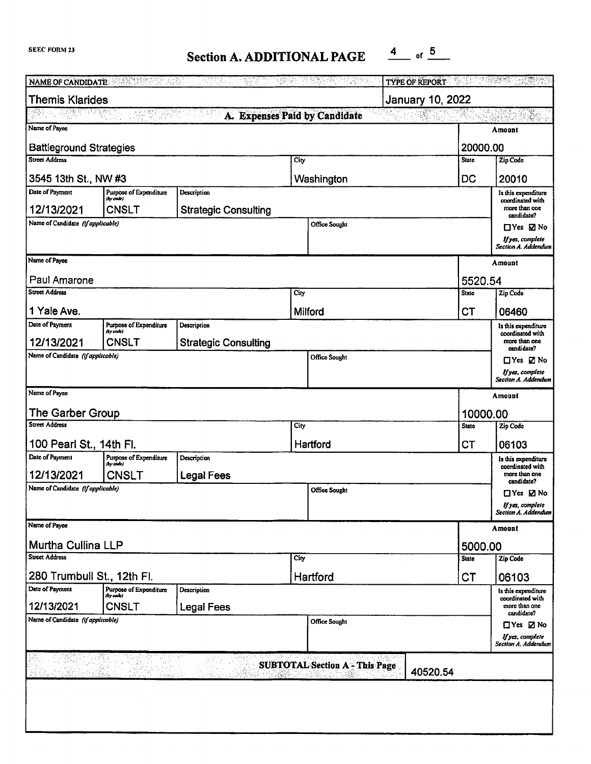## **Section A. ADDITIONAL PAGE**  $\frac{4}{1000}$  of  $\frac{5}{1000}$

| <b>TYPE OF REPORT AND RESIDENCE</b><br>전학자의<br>" 대학생에 대한 경찰의 정치가 되는것이라.<br>NAME OF CANDIDATE<br>3963 |                                     |                             |               |               |          |              |                                          |  |  |  |
|------------------------------------------------------------------------------------------------------|-------------------------------------|-----------------------------|---------------|---------------|----------|--------------|------------------------------------------|--|--|--|
| <b>Themis Klarides</b><br><b>January 10, 2022</b>                                                    |                                     |                             |               |               |          |              |                                          |  |  |  |
| PRATTY WARD WANT<br>A. Expenses Paid by Candidate<br>몇 달 나다<br>Salvage                               |                                     |                             |               |               |          |              |                                          |  |  |  |
| Name of Payee<br>Amount                                                                              |                                     |                             |               |               |          |              |                                          |  |  |  |
| <b>Battleground Strategies</b><br>20000.00                                                           |                                     |                             |               |               |          |              |                                          |  |  |  |
| <b>Street Address</b>                                                                                |                                     |                             | City          |               |          | <b>State</b> | Zip Code                                 |  |  |  |
| 3545 13th St., NW #3                                                                                 |                                     |                             |               | Washington    |          | DC           | 20010                                    |  |  |  |
| Date of Payment                                                                                      | Purpose of Expenditure<br>(by code) | Description                 |               |               |          |              | Is this expenditure<br>coordinated with  |  |  |  |
| 12/13/2021                                                                                           | <b>CNSLT</b>                        | <b>Strategic Consulting</b> |               |               |          |              | more than one<br>candidate?              |  |  |  |
| Name of Candidate (if applicable)                                                                    |                                     |                             |               | Office Sought |          |              | $\Box$ Yes $\Box$ No                     |  |  |  |
|                                                                                                      |                                     |                             |               |               |          |              | If yes, complete<br>Section A. Addendum  |  |  |  |
| Name of Payee                                                                                        |                                     |                             |               |               |          |              | Amount                                   |  |  |  |
| Paul Amarone                                                                                         |                                     |                             |               |               |          | 5520.54      |                                          |  |  |  |
| <b>Street Address</b>                                                                                |                                     |                             | City          |               |          | <b>State</b> | Zip Code                                 |  |  |  |
| 1 Yale Ave.                                                                                          |                                     |                             | Milford       |               |          | <b>CT</b>    | 06460                                    |  |  |  |
| Date of Payment                                                                                      | Purpose of Expenditure              | Description                 |               |               |          |              | Is this expenditure                      |  |  |  |
| 12/13/2021                                                                                           | (by code)<br>CNSLT                  | <b>Strategic Consulting</b> |               |               |          |              | coordinated with<br>more than one        |  |  |  |
| Name of Candidate (if applicable)                                                                    |                                     |                             |               | Office Sought |          |              | candidate?                               |  |  |  |
|                                                                                                      |                                     |                             |               |               |          |              | $\Box$ Yes $\Box$ No<br>If yes, complete |  |  |  |
|                                                                                                      |                                     |                             |               |               |          |              | Section A. Addendum                      |  |  |  |
| Name of Payee<br>Amount                                                                              |                                     |                             |               |               |          |              |                                          |  |  |  |
| The Garber Group                                                                                     |                                     |                             |               |               |          | 10000.00     |                                          |  |  |  |
| <b>Street Address</b>                                                                                |                                     |                             | City          |               |          | State        | Zip Code                                 |  |  |  |
| 100 Pearl St., 14th Fl.                                                                              |                                     |                             | Hartford      |               |          | <b>CT</b>    | 06103                                    |  |  |  |
| Date of Payment                                                                                      | Purpose of Expenditure<br>(by code) | Description                 |               |               |          |              | Is this expenditure<br>coordinated with  |  |  |  |
| 12/13/2021                                                                                           | CNSLT                               | <b>Legal Fees</b>           |               |               |          |              | more than one<br>candidate?              |  |  |  |
| Name of Candidate (if applicable)                                                                    |                                     |                             | Office Sought |               |          |              | $\Box$ Yes $\Box$ No                     |  |  |  |
|                                                                                                      |                                     |                             |               |               |          |              | lfyes, complete<br>Section A. Addendum   |  |  |  |
| Name of Payce                                                                                        |                                     |                             |               |               |          |              | Amount                                   |  |  |  |
| Murtha Cullina LLP                                                                                   |                                     |                             |               |               |          | 5000.00      |                                          |  |  |  |
| <b>Street Address</b>                                                                                |                                     |                             | City          |               |          | <b>State</b> | Zip Code                                 |  |  |  |
| 280 Trumbull St., 12th Fl.                                                                           |                                     |                             |               | Hartford      |          | СT           | 06103                                    |  |  |  |
| Date of Payment                                                                                      | Purpose of Expenditure<br>(by each) | Description                 |               |               |          |              | Is this expenditure<br>coordinated with  |  |  |  |
| 12/13/2021                                                                                           | <b>CNSLT</b>                        | <b>Legal Fees</b>           |               |               |          |              | more than one<br>candidate?              |  |  |  |
| Name of Candidate (if applicable)                                                                    |                                     |                             |               | Office Sought |          |              | $\Box$ Yes $\Box$ No                     |  |  |  |
|                                                                                                      |                                     |                             |               |               |          |              | If yes, complete<br>Section A. Addendum  |  |  |  |
| <b>SUBTOTAL Section A - This Page</b>                                                                |                                     |                             |               |               |          |              |                                          |  |  |  |
|                                                                                                      |                                     |                             |               |               | 40520.54 |              |                                          |  |  |  |
|                                                                                                      |                                     |                             |               |               |          |              |                                          |  |  |  |
|                                                                                                      |                                     |                             |               |               |          |              |                                          |  |  |  |
|                                                                                                      |                                     |                             |               |               |          |              |                                          |  |  |  |